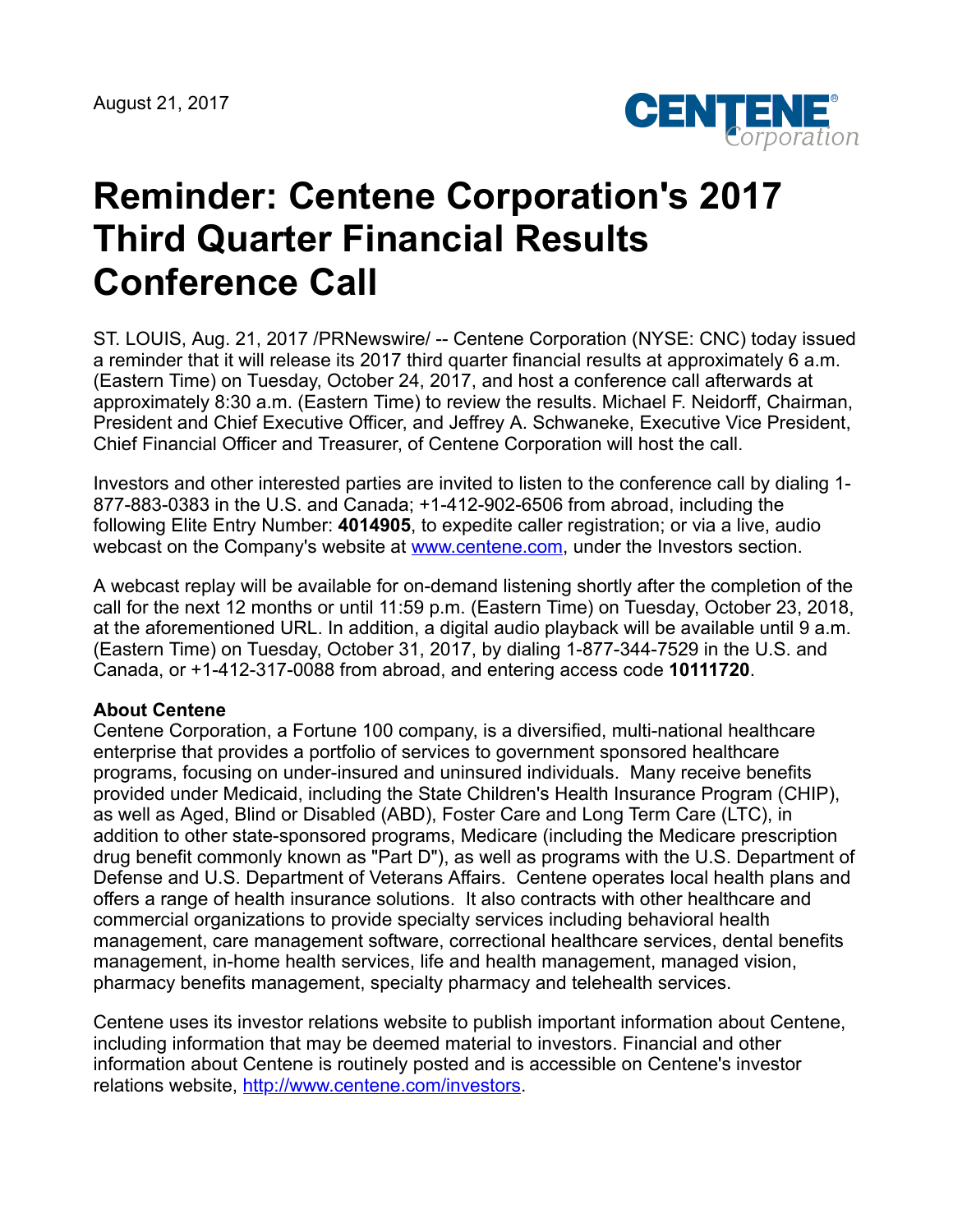

## **Reminder: Centene Corporation's 2017 Third Quarter Financial Results Conference Call**

ST. LOUIS, Aug. 21, 2017 /PRNewswire/ -- Centene Corporation (NYSE: CNC) today issued a reminder that it will release its 2017 third quarter financial results at approximately 6 a.m. (Eastern Time) on Tuesday, October 24, 2017, and host a conference call afterwards at approximately 8:30 a.m. (Eastern Time) to review the results. Michael F. Neidorff, Chairman, President and Chief Executive Officer, and Jeffrey A. Schwaneke, Executive Vice President, Chief Financial Officer and Treasurer, of Centene Corporation will host the call.

Investors and other interested parties are invited to listen to the conference call by dialing 1- 877-883-0383 in the U.S. and Canada; +1-412-902-6506 from abroad, including the following Elite Entry Number: **4014905**, to expedite caller registration; or via a live, audio webcast on the Company's website at [www.centene.com,](http://www.centene.com/) under the Investors section.

A webcast replay will be available for on-demand listening shortly after the completion of the call for the next 12 months or until 11:59 p.m. (Eastern Time) on Tuesday, October 23, 2018, at the aforementioned URL. In addition, a digital audio playback will be available until 9 a.m. (Eastern Time) on Tuesday, October 31, 2017, by dialing 1-877-344-7529 in the U.S. and Canada, or +1-412-317-0088 from abroad, and entering access code **10111720**.

## **About Centene**

Centene Corporation, a Fortune 100 company, is a diversified, multi-national healthcare enterprise that provides a portfolio of services to government sponsored healthcare programs, focusing on under-insured and uninsured individuals. Many receive benefits provided under Medicaid, including the State Children's Health Insurance Program (CHIP), as well as Aged, Blind or Disabled (ABD), Foster Care and Long Term Care (LTC), in addition to other state-sponsored programs, Medicare (including the Medicare prescription drug benefit commonly known as "Part D"), as well as programs with the U.S. Department of Defense and U.S. Department of Veterans Affairs. Centene operates local health plans and offers a range of health insurance solutions. It also contracts with other healthcare and commercial organizations to provide specialty services including behavioral health management, care management software, correctional healthcare services, dental benefits management, in-home health services, life and health management, managed vision, pharmacy benefits management, specialty pharmacy and telehealth services.

Centene uses its investor relations website to publish important information about Centene, including information that may be deemed material to investors. Financial and other information about Centene is routinely posted and is accessible on Centene's investor relations website, <http://www.centene.com/investors>.